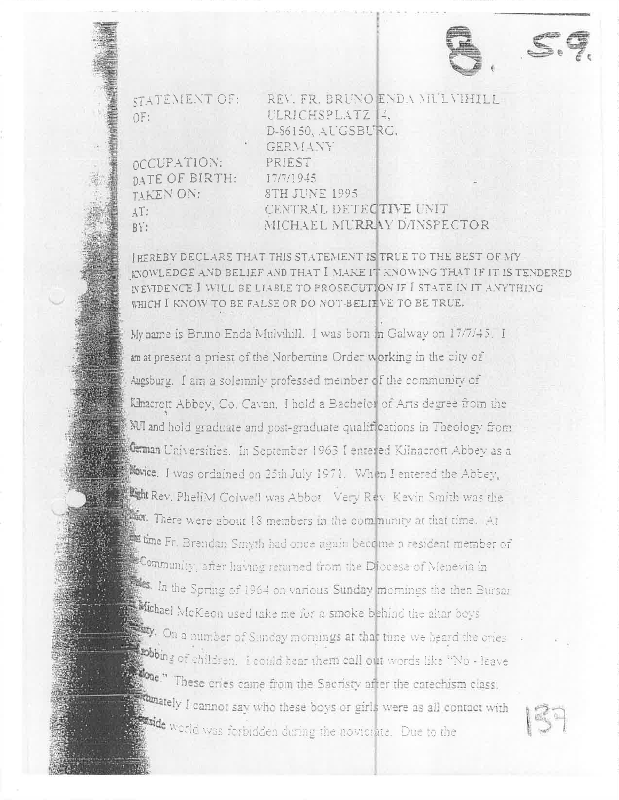

**STATEMENT OF:** OF:

OCCUPATION:

TAKEN ON:

 $\sqrt{11}$ 

 $RY$ :

DATE OF BIRTH:

REV. FR. BRUNO ENDA MULVIHILL ULRICHSPLATZ 14. D-86150, AUGSBURG, GERVIANY PRIEST 17/7/1945 **8TH JUNE 1995** CENTRAL DETECTIVE UNIT MICHAEL MURRAY DANSPECTOR

INFREBY DECLARE THAT THIS STATEMENT IS TRUE TO THE BEST OF MY KYOWLEDGE AND BELIEF AND THAT I MAKE IT KNOWING THAT IF IT IS TENDERED INEVIDENCE I WILL BE LIABLE TO PROSECUTION IF I STATE IN IT AVYTHING WHICH I KNOW TO BE FALSE OR DO NOT-BELIEVE TO BE TRUE.

My name is Bruno Enda Mulvihill. I was born in Galway on 17/7/45. I an at present a priest of the Norbertine Order working in the city of Augsburg. I am a solemnly professed member of the community of Kinacrott Abbey, Co. Cavan. I hold a Bachelor of Arts degree from the NUI and hold graduate and post-graduate qualifications in Theology from Gaman Universities. In September 1963 I entered Kilnacrott Abbey as a Novice. I was ordained on 25th July 1971. When I entered the Abbey, Light Rev. PheliM Colwell was Abbot. Very Rev. Kevin Smith was the There were about 18 members in the community at that time. At time Fr. Brandan Smyth had once again become a resident member of Community, after having returned from the Diocese of Menevia in the Spring of 1964 on various Sunday mornings the then Bursar Michael McKeon used take me for a smoke behind the altar boys W. On a number of Sunday mornings at that time we heard the ories sobbing of children. I could hear them call out words like "No - leave **Exone**." These cries came from the Sacristy after the catechism class. **Rumately** I cannot say who these boys or girls were as all contact with side world was forbidden during the novicinte. Due to the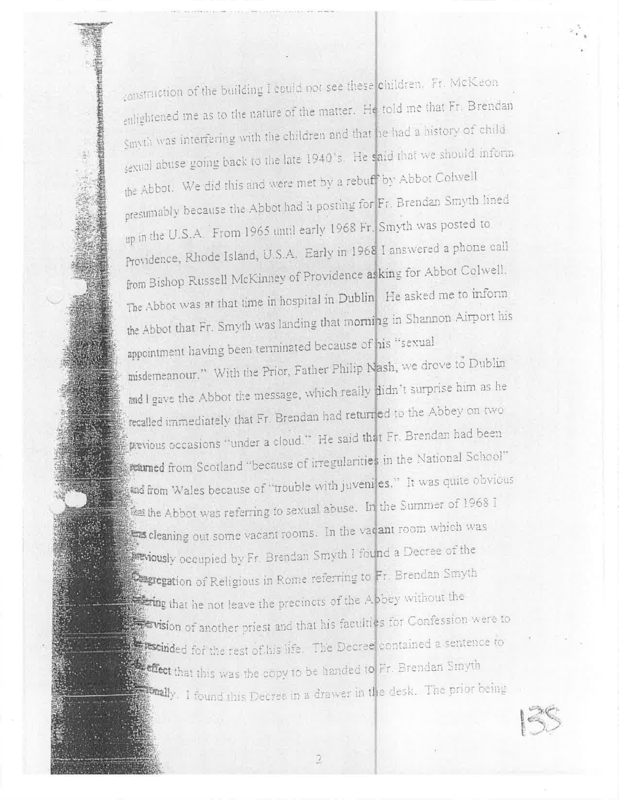construction of the building I could not see these children. Fr. McKeon enlightened ine as to the nature of the matter. He told me that Fr. Brendan Smyth was interfering with the children and that he had a history of child sexual abuse going back to the late 1940's. He said that we should inform the Abbot. We did this and were met by a rebuff by Abbot Colwell presumably because the Abbot had a posting for Fr. Brendan Smyth lined up in the U.S.A. From 1965 until early 1968 Fr. Smyth was posted to Providence, Rhode Island, U.S.A. Early in 1968 I answered a phone call from Bishop Russell McKinney of Providence asking for Abbot Colwell. The Abbot was at that time in hospital in Dublin He asked me to inform the Abbot that Fr. Smyth was landing that morning in Shannon Airport his appointment having been terminated because of his "sexual misdemeanour." With the Prior, Father Philip Nash, we drove to Dublin and I gave the Abbot the message, which really didn't surprise him as he recalled immediately that Fr. Brendan had returned to the Abbey on two previous occasions "under a cloud." He said that Fr. Brendan had been potumed from Scotland "because of irregularities in the National School" and from Wales because of "trouble with juveniles." It was quite obvious  $\frac{3}{20}$  the Abbot was referring to sexual abuse. In the Summer of 1968 I cleaning out some vacant rooms. In the vacant room which was **Friously** occupied by Fr. Brendan Smyth I found a Decree of the **Cagregation** of Religious in Rome referring to Fr. Brendan Smyth the string that he not leave the precincts of the Abbey without the **Edvision** of another priest and that his faculties for Confession were to **Excided** for the rest of his life. The Decree contained a sentence to effect that this was the copy to be handed to Fr. Brendan Smyth The prior being this Decree in a drawer in the desk. The prior being

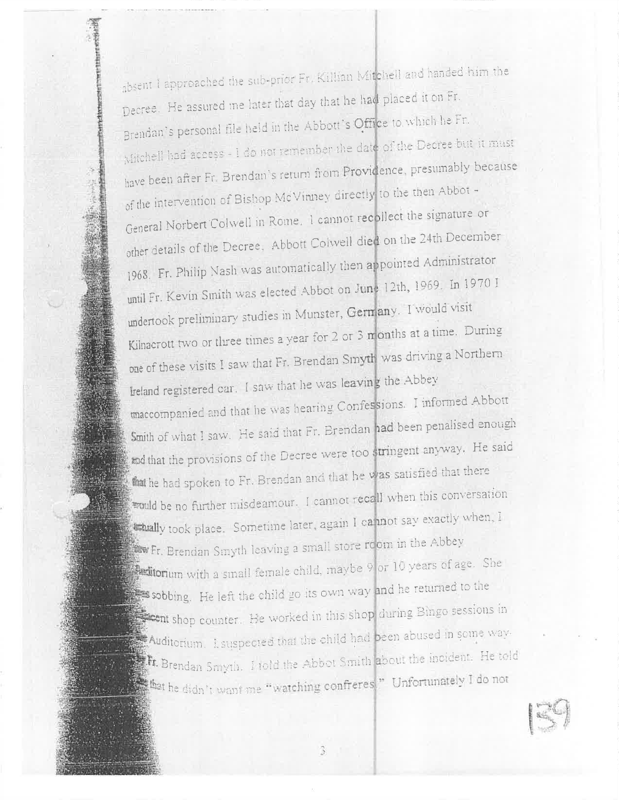absent I approached the sub-prior Fr. Killian Mitchell and handed him the Decree. He assured me later that day that he had placed it on Fr. Brendan's personal file held in the Abbott's Office to which he Fr. Mitchell had access - I do not remember the date of the Decree but it must have been after Fr. Brendan's return from Providence, presumably because of the intervention of Bishop McVinney directly to the then Abbot -General Norbert Colwell in Rome. 1 cannot recollect the signature or other details of the Decree, Abbott Colwell died on the 24th December 1968. Fr. Philip Nash was automatically then appointed Administrator until Fr. Kevin Smith was elected Abbot on June 12th, 1969. In 1970 I undertook preliminary studies in Munster, Germany. I would visit Kilnacrott two or three times a year for 2 or 3 months at a time. During one of these visits I saw that Fr. Brendan Smyth was driving a Northern freland registered car. I saw that he was leaving the Abbey maccompanied and that he was hearing Confessions. I informed Abbott Smith of what I saw. He said that Fr. Brendan had been penalised enough and that the provisions of the Decree were too stringent anyway. He said that he had spoken to Fr. Brendan and that he was satisfied that there would be no further misdeamour. I cannot recall when this conversation **Ethally** took place. Sometime later, again I cannot say exactly when, I Fr. Brendan Smyth leaving a small store room in the Abbey **Actitorium** with a small female child, maybe 9 or 10 years of age. She sobbing. He left the child go its own way and he returned to the Secont shop counter. He worked in this shop during Bingo sessions in Auditorium. I suspected that the child had been abused in some way. Fr. Brendan Smyth. I told the Abbot Smith about the incident. He told that he didn't want me "watching confreres." Unfortunately I do not

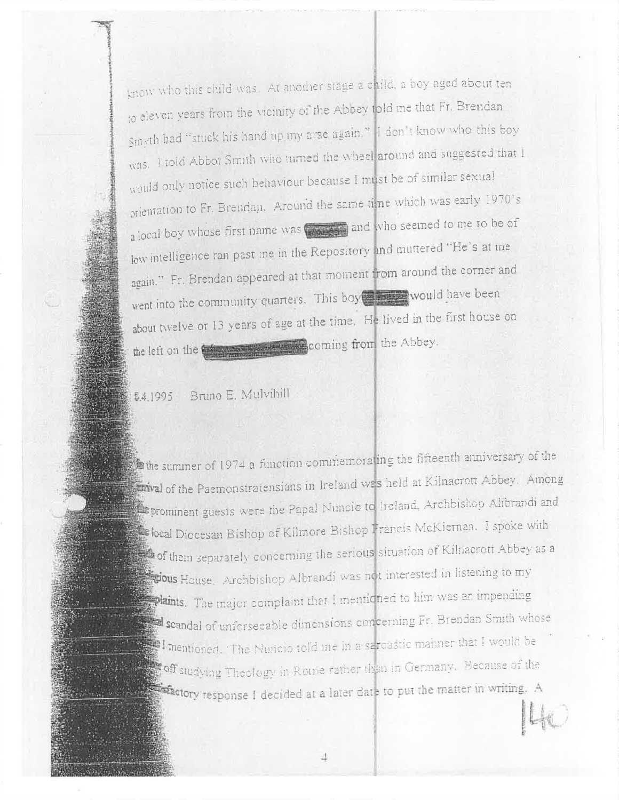know who this child was. At another stage a child, a boy aged about ten to eleven years from the vicinity of the Abbey told me that Fr. Brendan Smyth had "stuck his hand up my arse again." I don't know who this boy was. I told Abbot Smith who turned the wheel around and suggested that I would only notice such behaviour because I must be of similar sexual orientation to Fr. Brendan. Around the same time which was early 1970's a local boy whose first name was and who seemed to me to be of low intelligence ran past me in the Repository and muttered "He's at me again." Fr. Brendan appeared at that moment from around the corner and went into the community quarters. This boy stress would have been about twelve or 13 years of age at the time. He lived in the first house on the left on the the state of the state of the Abbey.

84.1995 Bruno E. Mulvihill

the summer of 1974 a function commemoraling the fifteenth anniversary of the statural of the Paemonstratensians in Ireland was held at Kilnacrott Abbey. Among prominent guests were the Papal Nuncio to Ireland, Archbishop Alibrandi and Second Diocesan Bishop of Kilmore Bishop Francis McKieman. I spoke with of them separately concerning the serious situation of Kilnacrott Abbey as a **Explous** House. Archbishop Albrandi was not interested in listening to my straints. The major complaint that I mentioned to him was an impending scandal of unforseeable dimensions concerning Fr. Brendan Smith whose  $\mathbb{Z}$  I mentioned. The Nunicio told me in a seroastic manner that I would be **1999** off studying Theology in Rome rather than in Germany. Because of the **1999 - Carl Actory response** I decided at a later date to put the matter in writing. A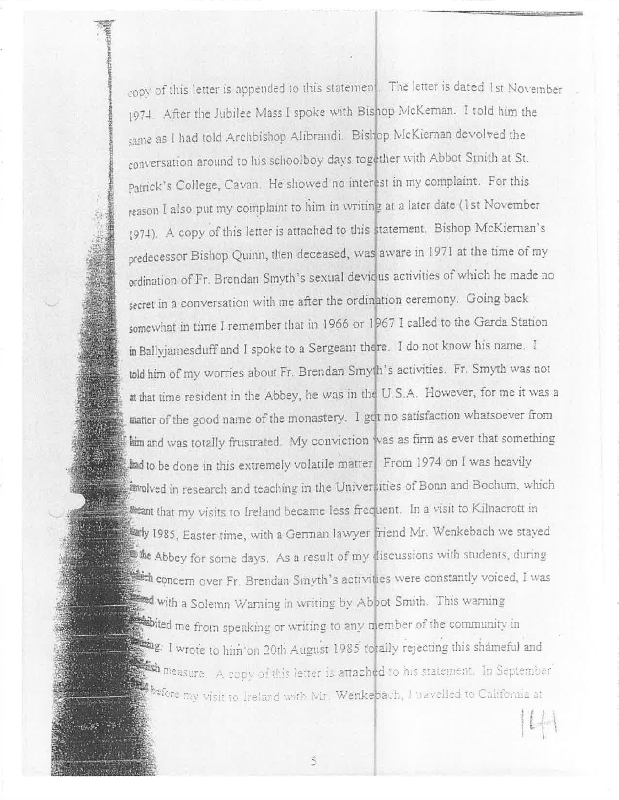copy of this letter is appended to this statemen. The letter is dated 1st November 1974. After the Jubilee Mass I spoke with Bishop McKernan. I told him the same as I had told Archbishop Alibrandi. Bishop McKiernan devolved the conversation around to his schoolboy days together with Abbot Smith at St. Patrick's College, Cavan. He showed no interest in my complaint. For this reason I also put my complaint to him in writing at a later date (1st November (974). A copy of this letter is attached to this statement. Bishop McKiernan's predecessor Bishop Quinn, then deceased, was aware in 1971 at the time of my ordination of Fr. Brendan Smyth's sexual devious activities of which he made no secret in a conversation with me after the ordination ceremony. Going back somewhat in time I remember that in 1966 or 1967 I called to the Garda Station in Ballyjamesduff and I spoke to a Sergeant there. I do not know his name. I told him of my worries about Fr. Brendan Smyth's activities. Fr. Smyth was not at that time resident in the Abbey, he was in the U.S.A. However, for me it was a matter of the good name of the monastery. I got no satisfaction whatsoever from him and was totally frustrated. My conviction was as firm as ever that something and to be done in this extremely volatile matter. From 1974 on I was heavily a wolved in research and teaching in the Universities of Bonn and Bochum, which Deant that my visits to Ireland became less frequent. In a visit to Kilnacrott in Lery 1985, Easter time, with a German lawyer friend Mr. Wenkebach we stayed the Abbey for some days. As a result of my discussions with students, during We concern over Fr. Brendan Smyth's activities were constantly voiced, I was with a Solemn Warning in writing by Aboot Smith. This warning bited me from speaking or writing to any member of the community in ing. I wrote to him on 20th August 1985 totally rejecting this shameful and the measure. A copy of this letter is attached to his statement. In September Sefore my visit to Ireland with Mr. Wenkebach, I travelled to California at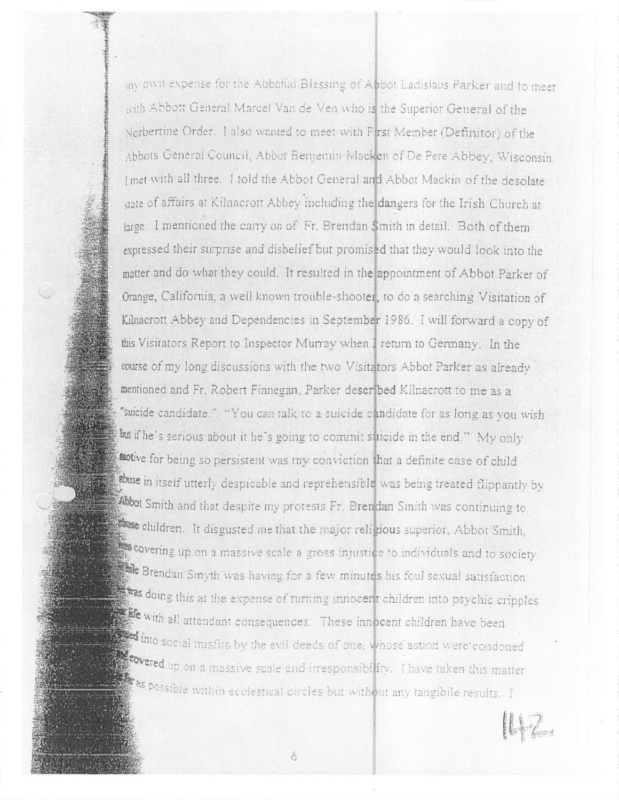any own expense for the Abbatial Blessing of Abbot Ladislaus Parker and to meet with Abbott General Marcel Van de Ven who is the Superior General of the Norbertine Order. Lalso wanted to meet with First Member (Definitor) of the Abbots General Council, Abbot Benjemin Macken of De Pere Abbey, Wisconsin, I met with all three. I told the Abbot General and Abbot Mackin of the desolate state of affairs at Kilnacrott Abbey including the dangers for the Irish Church at large. I mentioned the carry on of Fr. Brendan Smith in detail. Both of them expressed their surprise and disbelief but promised that they would look into the matter and do what they could. It resulted in the appointment of Abbot Parker of Orange, California, a well known trouble-shooter, to do a searching Visitation of Kilnacrott Abbey and Dependencies in September 1986. I will forward a copy of this Visitators Report to Inspector Murray when I return to Germany. In the course of my long discussions with the two Visitators Abbot Parker as already mentioned and Fr. Robert Finnegan, Parker described Kilnacrott to me as a "suicide candidate." "You can talk to a suicide candidate for as long as you wish but if he's serious about it he's going to commit suicide in the end." My only auxive for being so persistent was my conviction that a definite case of child abuse in itself utterly despicable and reprehensible was being treated flippantly by Abbot Smith and that despite my protests Fr. Brendan Smith was continuing to see children. It disgusted me that the major religious superior, Abbot Smith, covering up on a massive scale a gross injustice to individuals and to society. Brendan Smyth was having for a few minutes his foul sexual satisfaction doing this at the expense of turning innocent children into psychic cripples the with all attendant consequences. These innocent children have been and into social misfits by the evil deeds of one, whose action were condoned **Covered** up on a massive scale and irresponsibility. I have taken this matter as possible within ecolestical circles but without any tangibile results. I